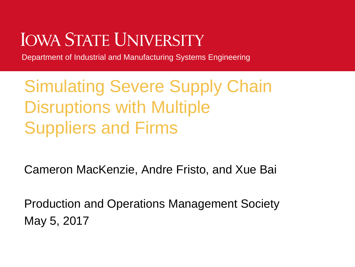# **JOWA STATE UNIVERSITY**

Department of Industrial and Manufacturing Systems Engineering

# Simulating Severe Supply Chain Disruptions with Multiple Suppliers and Firms

Cameron MacKenzie, Andre Fristo, and Xue Bai

Production and Operations Management Society May 5, 2017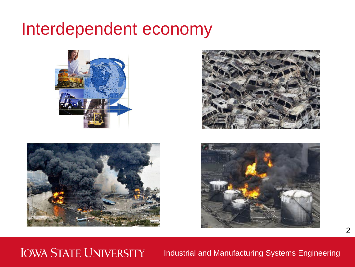### Interdependent economy







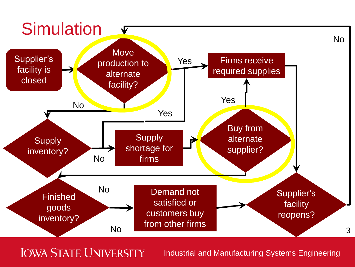

**IOWA STATE UNIVERSITY**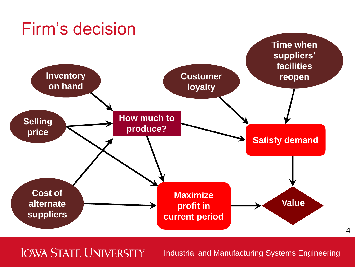### Firm's decision



**IOWA STATE UNIVERSITY**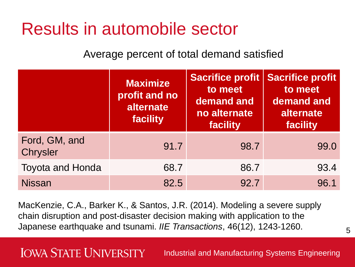### Results in automobile sector

Average percent of total demand satisfied

|                           | <b>Maximize</b><br>profit and no<br>alternate<br>facility | <b>Sacrifice profit</b><br>to meet<br>demand and<br>no alternate<br>facility | <b>Sacrifice profit</b><br>to meet<br>demand and<br>alternate<br>facility |
|---------------------------|-----------------------------------------------------------|------------------------------------------------------------------------------|---------------------------------------------------------------------------|
| Ford, GM, and<br>Chrysler | 91.7                                                      | 98.7                                                                         | 99.0                                                                      |
| <b>Toyota and Honda</b>   | 68.7                                                      | 86.7                                                                         | 93.4                                                                      |
| <b>Nissan</b>             | 82.5                                                      | 92.7                                                                         | 96.1                                                                      |

MacKenzie, C.A., Barker K., & Santos, J.R. (2014). Modeling a severe supply chain disruption and post-disaster decision making with application to the Japanese earthquake and tsunami. *IIE Transactions*, 46(12), 1243-1260.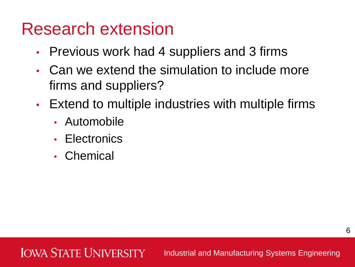### Research extension

- Previous work had 4 suppliers and 3 firms
- Can we extend the simulation to include more firms and suppliers?
- Extend to multiple industries with multiple firms
	- Automobile
	- **Electronics**
	- Chemical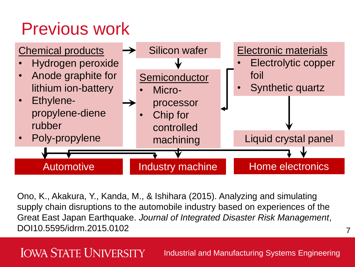# Previous work



Ono, K., Akakura, Y., Kanda, M., & Ishihara (2015). Analyzing and simulating supply chain disruptions to the automobile industry based on experiences of the Great East Japan Earthquake. *Journal of Integrated Disaster Risk Management*, DOI10.5595/idrm.2015.0102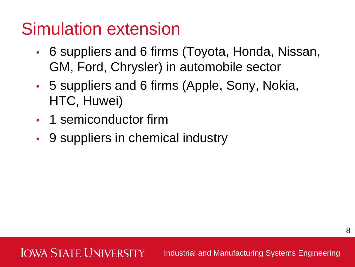## Simulation extension

- 6 suppliers and 6 firms (Toyota, Honda, Nissan, GM, Ford, Chrysler) in automobile sector
- 5 suppliers and 6 firms (Apple, Sony, Nokia, HTC, Huwei)
- 1 semiconductor firm
- 9 suppliers in chemical industry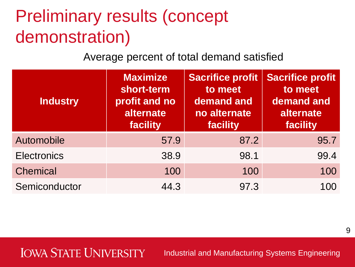# Preliminary results (concept demonstration)

Average percent of total demand satisfied

| <b>Industry</b>    | <b>Maximize</b><br>short-term<br>profit and no<br>alternate<br>facility | <b>Sacrifice profit</b><br>to meet<br>demand and<br>no alternate<br>facility | <b>Sacrifice profit</b><br>to meet<br>demand and<br>alternate<br>facility |
|--------------------|-------------------------------------------------------------------------|------------------------------------------------------------------------------|---------------------------------------------------------------------------|
| Automobile         | 57.9                                                                    | 87.2                                                                         | 95.7                                                                      |
| <b>Electronics</b> | 38.9                                                                    | 98.1                                                                         | 99.4                                                                      |
| <b>Chemical</b>    | 100                                                                     | 100                                                                          | 100                                                                       |
| Semiconductor      | 44.3                                                                    | 97.3                                                                         | 100                                                                       |

### **IOWA STATE UNIVERSITY**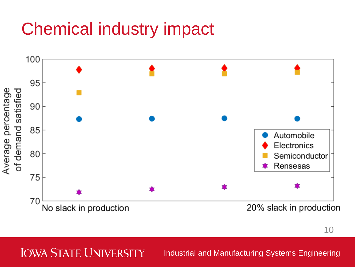# Chemical industry impact



10

#### **IOWA STATE UNIVERSITY**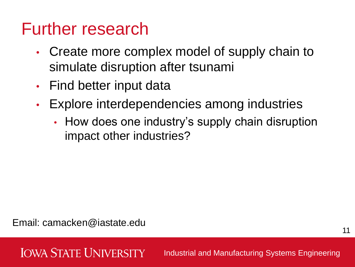## Further research

- Create more complex model of supply chain to simulate disruption after tsunami
- Find better input data
- Explore interdependencies among industries
	- How does one industry's supply chain disruption impact other industries?

Email: camacken@iastate.edu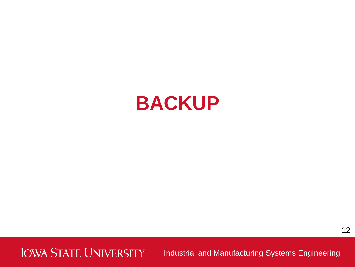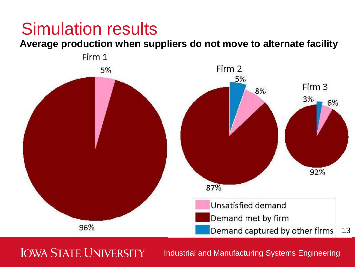#### **Average production when suppliers do not move to alternate facility**



### **IOWA STATE UNIVERSITY**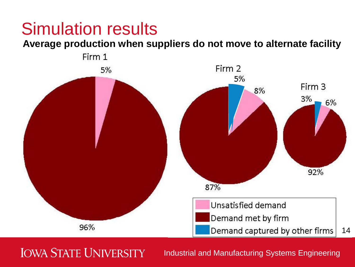**Average production when suppliers do not move to alternate facility**



**IOWA STATE UNIVERSITY**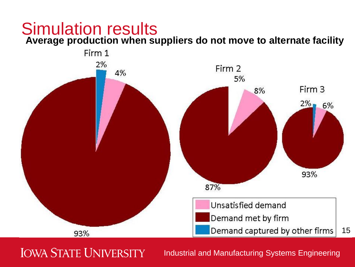**Average production when suppliers do not move to alternate facility**



**IOWA STATE UNIVERSITY**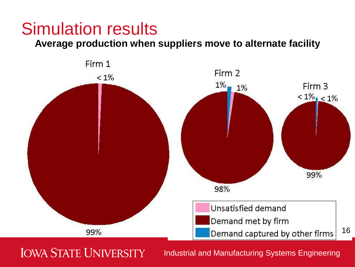#### **Average production when suppliers move to alternate facility**



### **IOWA STATE UNIVERSITY**